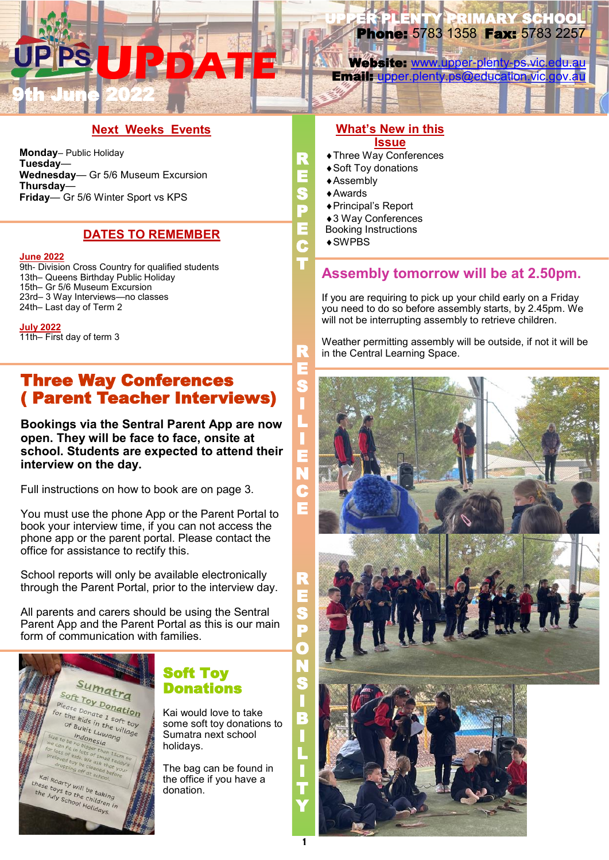# **UPDATE** 9th June 2022

LENTY PRIMARY SCHOOL Phone: 5783 1358 Fax: 5783 2257

Website: [www.upper-plenty-ps.vic.edu.au](http://www.upper-plenty-ps.vic.edu.au) Email: [upper.plenty.ps@education.vic.gov.au](mailto:upper.plenty.ps@education.vic.gov.au)

### **Next Weeks Events**

**Monday**– Public Holiday **Tuesday**— **Wednesday**— Gr 5/6 Museum Excursion **Thursday**— **Friday**— Gr 5/6 Winter Sport vs KPS

### **DATES TO REMEMBER**

#### **June 2022**

9th- Division Cross Country for qualified students 13th– Queens Birthday Public Holiday 15th– Gr 5/6 Museum Excursion 23rd– 3 Way Interviews—no classes 24th– Last day of Term 2

**July 2022** 11th– First day of term 3

Three Way Conferences ( Parent Teacher Interviews)

**Bookings via the Sentral Parent App are now open. They will be face to face, onsite at school. Students are expected to attend their interview on the day.**

Full instructions on how to book are on page 3.

You must use the phone App or the Parent Portal to book your interview time, if you can not access the phone app or the parent portal. Please contact the office for assistance to rectify this.

School reports will only be available electronically through the Parent Portal, prior to the interview day.

All parents and carers should be using the Sentral Parent App and the Parent Portal as this is our main form of communication with families.



## Soft Toy **Donations**

Kai would love to take some soft toy donations to Sumatra next school holidays.

The bag can be found in the office if you have a donation.

#### **What's New in this Issue**

- Three Way Conferences
- ◆ Soft Tov donations
- Assembly
- Awards

R E S P E C T

R

- Principal's Report
- 3 Way Conferences
- Booking Instructions

SWPBS

## **Assembly tomorrow will be at 2.50pm.**

If you are requiring to pick up your child early on a Friday you need to do so before assembly starts, by 2.45pm. We will not be interrupting assembly to retrieve children.

Weather permitting assembly will be outside, if not it will be in the Central Learning Space.

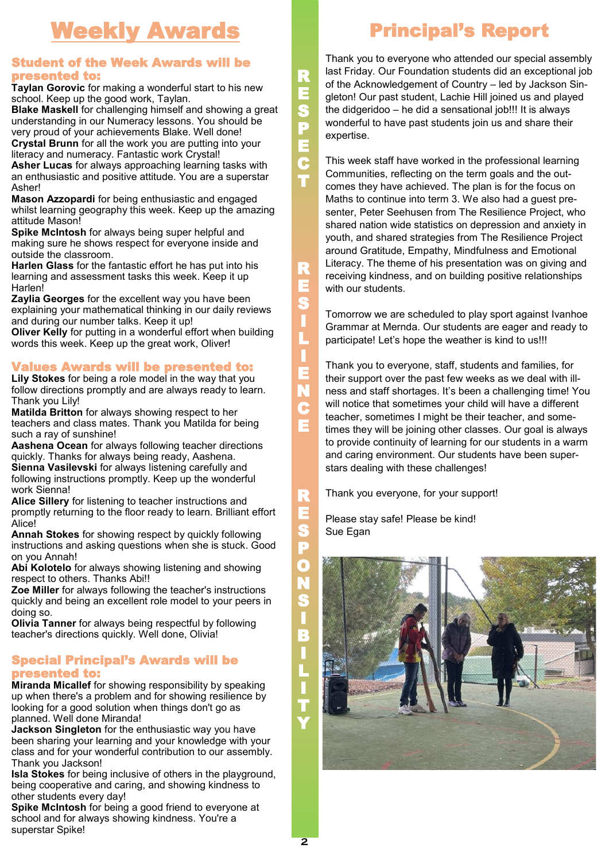## Weekly Awards

### Student of the Week Awards will be presented to:

**Taylan Gorovic** for making a wonderful start to his new school. Keep up the good work, Taylan.

**Blake Maskell** for challenging himself and showing a great understanding in our Numeracy lessons. You should be very proud of your achievements Blake. Well done! **Crystal Brunn** for all the work you are putting into your literacy and numeracy. Fantastic work Crystal!

**Asher Lucas** for always approaching learning tasks with an enthusiastic and positive attitude. You are a superstar Asher!

**Mason Azzopardi** for being enthusiastic and engaged whilst learning geography this week. Keep up the amazing attitude Mason!

**Spike McIntosh** for always being super helpful and making sure he shows respect for everyone inside and outside the classroom.

**Harlen Glass** for the fantastic effort he has put into his learning and assessment tasks this week. Keep it up Harlen!

**Zaylia Georges** for the excellent way you have been explaining your mathematical thinking in our daily reviews and during our number talks. Keep it up!

**Oliver Kelly** for putting in a wonderful effort when building words this week. Keep up the great work, Oliver!

## Values Awards will be presented to:

**Lily Stokes** for being a role model in the way that you follow directions promptly and are always ready to learn. Thank you Lily!

**Matilda Britton** for always showing respect to her teachers and class mates. Thank you Matilda for being such a ray of sunshine!

**Aashena Ocean** for always following teacher directions quickly. Thanks for always being ready, Aashena. **Sienna Vasilevski** for always listening carefully and following instructions promptly. Keep up the wonderful

work Sienna! **Alice Sillery** for listening to teacher instructions and promptly returning to the floor ready to learn. Brilliant effort Alice!

**Annah Stokes** for showing respect by quickly following instructions and asking questions when she is stuck. Good on you Annah!

**Abi Kolotelo** for always showing listening and showing respect to others. Thanks Abi!!

**Zoe Miller** for always following the teacher's instructions quickly and being an excellent role model to your peers in doing so.

**Olivia Tanner** for always being respectful by following teacher's directions quickly. Well done, Olivia!

### Special Principal's Awards will be presented to:

**Miranda Micallef** for showing responsibility by speaking up when there's a problem and for showing resilience by looking for a good solution when things don't go as planned. Well done Miranda!

**Jackson Singleton** for the enthusiastic way you have been sharing your learning and your knowledge with your class and for your wonderful contribution to our assembly. Thank you Jackson!

**Isla Stokes** for being inclusive of others in the playground, being cooperative and caring, and showing kindness to other students every day!

**Spike McIntosh** for being a good friend to everyone at school and for always showing kindness. You're a superstar Spike!

E R E S P O N S I B I L I T Y

R E S P E C T

R E S I L I E N C

Thank you to everyone who attended our special assembly last Friday. Our Foundation students did an exceptional job of the Acknowledgement of Country – led by Jackson Singleton! Our past student, Lachie Hill joined us and played the didgeridoo – he did a sensational job!!! It is always wonderful to have past students join us and share their expertise.

This week staff have worked in the professional learning Communities, reflecting on the term goals and the outcomes they have achieved. The plan is for the focus on Maths to continue into term 3. We also had a guest presenter, Peter Seehusen from The Resilience Project, who shared nation wide statistics on depression and anxiety in youth, and shared strategies from The Resilience Project around Gratitude, Empathy, Mindfulness and Emotional Literacy. The theme of his presentation was on giving and receiving kindness, and on building positive relationships with our students.

Tomorrow we are scheduled to play sport against Ivanhoe Grammar at Mernda. Our students are eager and ready to participate! Let's hope the weather is kind to us!!!

Thank you to everyone, staff, students and families, for their support over the past few weeks as we deal with illness and staff shortages. It's been a challenging time! You will notice that sometimes your child will have a different teacher, sometimes I might be their teacher, and sometimes they will be joining other classes. Our goal is always to provide continuity of learning for our students in a warm and caring environment. Our students have been superstars dealing with these challenges!

Thank you everyone, for your support!

Please stay safe! Please be kind! Sue Egan

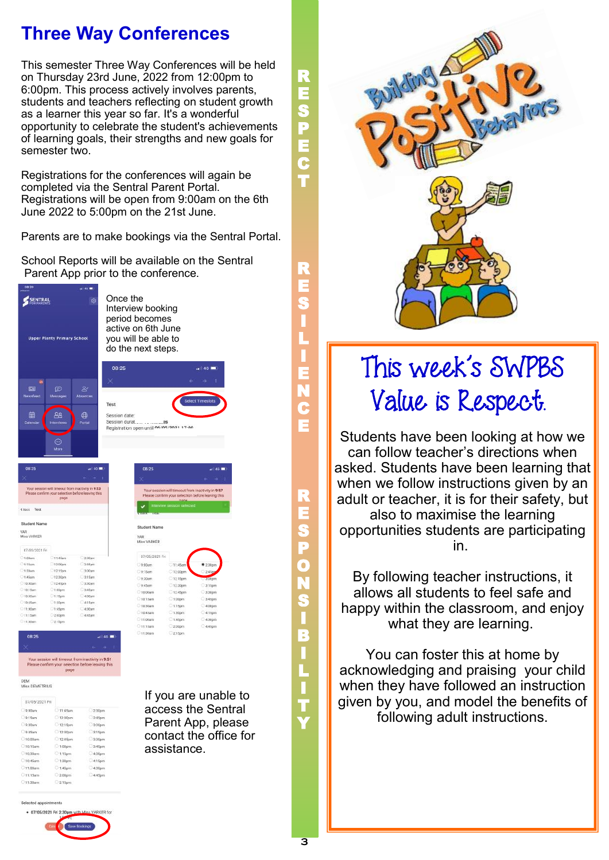## **Three Way Conferences**

This semester Three Way Conferences will be held on Thursday 23rd June, 2022 from 12:00pm to 6:00pm. This process actively involves parents, students and teachers reflecting on student growth as a learner this year so far. It's a wonderful opportunity to celebrate the student's achievements of learning goals, their strengths and new goals for semester two.

Registrations for the conferences will again be completed via the Sentral Parent Portal. Registrations will be open from 9:00am on the 6th June 2022 to 5:00pm on the 21st June.

Parents are to make bookings via the Sentral Portal.

School Reports will be available on the Sentral Parent App prior to the conference.



Once the Interview booking period becomes active on 6th June you will be able to do the next steps.



| vo ca               |                     | $\cdots$                                                                                               |  |
|---------------------|---------------------|--------------------------------------------------------------------------------------------------------|--|
|                     |                     | ŧ                                                                                                      |  |
|                     | page                | Your session will timeout from inactivity in 9:53<br>Please confirm your selection before leaving this |  |
| C Rack<br>Test      |                     |                                                                                                        |  |
| Student Name        |                     |                                                                                                        |  |
| VAR.<br>Miss VARKER |                     |                                                                                                        |  |
| 07/05/2021 Fri      |                     |                                                                                                        |  |
| 9.00am              | $011.45$ am         | 2.30pm                                                                                                 |  |
| Q154m               | $12,00$ om          | 245pm                                                                                                  |  |
| $Q-30am$            | 12:15pm             | 3.00 <sub>pm</sub>                                                                                     |  |
| O 9:45am            | 01230pm             | C 3.15pm                                                                                               |  |
| $O$ 10.00am         | C 12:45pm           | 3.30 <sub>pm</sub>                                                                                     |  |
| $10-15$ am          | 01.00 <sub>cm</sub> | 3.45pm                                                                                                 |  |
| 010 30am            | O1.15 <sub>0</sub>  | $-4.00$ pm                                                                                             |  |
| 10.45am             | 0130 <sub>mm</sub>  | $-a15pm$                                                                                               |  |
| 11:00pm             | 1:45pm              | 0 4 30pm                                                                                               |  |
|                     |                     |                                                                                                        |  |

 $215$ 

| 08:25                                            |                                                                                                                | $-146.1$           |
|--------------------------------------------------|----------------------------------------------------------------------------------------------------------------|--------------------|
|                                                  |                                                                                                                |                    |
|                                                  | Your session will timeout from inactivity in 9:57<br>Please confirm your selection before leaving this<br>nana |                    |
|                                                  | Interview session selected                                                                                     |                    |
| <b>Allen St</b>                                  |                                                                                                                |                    |
|                                                  |                                                                                                                |                    |
| Student Name                                     |                                                                                                                |                    |
|                                                  |                                                                                                                |                    |
| 07/05/2021 Fri                                   |                                                                                                                |                    |
|                                                  | 211:45am                                                                                                       | 2:30pm             |
|                                                  | 12:00pm                                                                                                        | 2.45 <sub>00</sub> |
| VAR<br>Miss VARKER<br>9:00am<br>9:15am<br>9.30am | 1215pm                                                                                                         | a.com              |

10:30a

11115an

If you are unable to access the Sentral Parent App, please contact the office for

4:00pr

assistance.

R E S P O N S I B I L I T Y

R E S P E C T

R E S I L I E N C E



## This week's SWPBS Value is Respect.

Students have been looking at how we can follow teacher's directions when asked. Students have been learning that when we follow instructions given by an adult or teacher, it is for their safety, but also to maximise the learning opportunities students are participating in.

By following teacher instructions, it allows all students to feel safe and happy within the classroom, and enjoy what they are learning.

You can foster this at home by acknowledging and praising your child when they have followed an instruction given by you, and model the benefits of following adult instructions.

| Selected appointments |
|-----------------------|

DEM<br>Miss DEMETRIUS 87/05/2021 Fr  $-9:00$ am

 $9:15<sub>nm</sub>$ 

9:30am

 $9:45am$ 

 $1000<sub>10</sub>$ 

 $-10:15$ am

 $10.30<sub>10</sub>$ 

10:45am

11100am

 $21115$ am

 $01130m$ 

11:45ar

12.00pm

1215pm

1230pm

12:45pm

1:00pm

 $115<sub>cm</sub>$ 

 $-1.30$ on

 $200$ 

 $245<sub>pr</sub>$ 

 $3000$ 

 $33500$ 

 $290<sub>1</sub>$ 

 $3.45<sub>0</sub>$ 

 $4000$ 

 $41500$ 

 $430<sub>m</sub>$ 

 $44500$